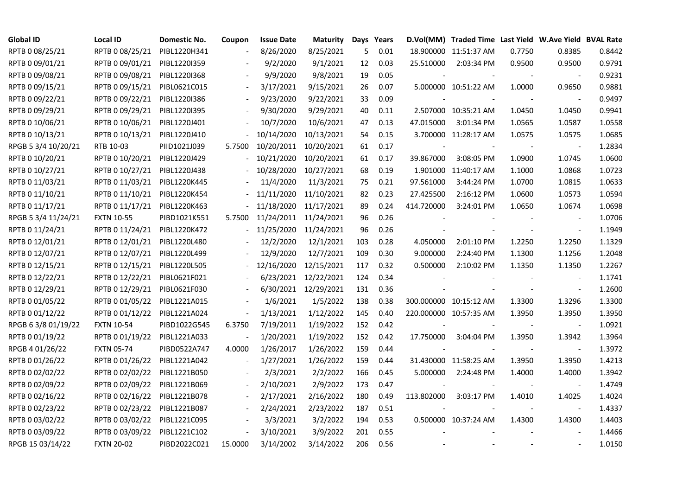| <b>Global ID</b>    | <b>Local ID</b>   | Domestic No. | Coupon                   | <b>Issue Date</b>     | <b>Maturity</b>      |     | Days Years |            | D.Vol(MM) Traded Time Last Yield W.Ave Yield BVAL Rate |        |                          |        |
|---------------------|-------------------|--------------|--------------------------|-----------------------|----------------------|-----|------------|------------|--------------------------------------------------------|--------|--------------------------|--------|
| RPTB 0 08/25/21     | RPTB 0 08/25/21   | PIBL1220H341 |                          | 8/26/2020             | 8/25/2021            | 5   | 0.01       |            | 18.900000 11:51:37 AM                                  | 0.7750 | 0.8385                   | 0.8442 |
| RPTB 0 09/01/21     | RPTB 0 09/01/21   | PIBL1220I359 |                          | 9/2/2020              | 9/1/2021             | 12  | 0.03       | 25.510000  | 2:03:34 PM                                             | 0.9500 | 0.9500                   | 0.9791 |
| RPTB 0 09/08/21     | RPTB 0 09/08/21   | PIBL1220I368 |                          | 9/9/2020              | 9/8/2021             | 19  | 0.05       |            |                                                        |        |                          | 0.9231 |
| RPTB 0 09/15/21     | RPTB 0 09/15/21   | PIBL0621C015 | $\overline{\phantom{a}}$ | 3/17/2021             | 9/15/2021            | 26  | 0.07       |            | 5.000000 10:51:22 AM                                   | 1.0000 | 0.9650                   | 0.9881 |
| RPTB 0 09/22/21     | RPTB 0 09/22/21   | PIBL1220I386 |                          | 9/23/2020             | 9/22/2021            | 33  | 0.09       |            |                                                        |        |                          | 0.9497 |
| RPTB 0 09/29/21     | RPTB 0 09/29/21   | PIBL1220I395 |                          | 9/30/2020             | 9/29/2021            | 40  | 0.11       |            | 2.507000 10:35:21 AM                                   | 1.0450 | 1.0450                   | 0.9941 |
| RPTB 0 10/06/21     | RPTB 0 10/06/21   | PIBL1220J401 |                          | 10/7/2020             | 10/6/2021            | 47  | 0.13       | 47.015000  | 3:01:34 PM                                             | 1.0565 | 1.0587                   | 1.0558 |
| RPTB 0 10/13/21     | RPTB 0 10/13/21   | PIBL1220J410 |                          | 10/14/2020            | 10/13/2021           | 54  | 0.15       |            | 3.700000 11:28:17 AM                                   | 1.0575 | 1.0575                   | 1.0685 |
| RPGB 5 3/4 10/20/21 | RTB 10-03         | PIID1021J039 | 5.7500                   | 10/20/2011            | 10/20/2021           | 61  | 0.17       |            |                                                        |        |                          | 1.2834 |
| RPTB 0 10/20/21     | RPTB 0 10/20/21   | PIBL1220J429 | $\overline{\phantom{a}}$ | 10/21/2020            | 10/20/2021           | 61  | 0.17       | 39.867000  | 3:08:05 PM                                             | 1.0900 | 1.0745                   | 1.0600 |
| RPTB 0 10/27/21     | RPTB 0 10/27/21   | PIBL1220J438 |                          | 10/28/2020            | 10/27/2021           | 68  | 0.19       |            | 1.901000 11:40:17 AM                                   | 1.1000 | 1.0868                   | 1.0723 |
| RPTB 0 11/03/21     | RPTB 0 11/03/21   | PIBL1220K445 |                          | 11/4/2020             | 11/3/2021            | 75  | 0.21       | 97.561000  | 3:44:24 PM                                             | 1.0700 | 1.0815                   | 1.0633 |
| RPTB 0 11/10/21     | RPTB 0 11/10/21   | PIBL1220K454 |                          | 11/11/2020            | 11/10/2021           | 82  | 0.23       | 27.425500  | 2:16:12 PM                                             | 1.0600 | 1.0573                   | 1.0594 |
| RPTB 0 11/17/21     | RPTB 0 11/17/21   | PIBL1220K463 |                          | 11/18/2020            | 11/17/2021           | 89  | 0.24       | 414.720000 | 3:24:01 PM                                             | 1.0650 | 1.0674                   | 1.0698 |
| RPGB 5 3/4 11/24/21 | <b>FXTN 10-55</b> | PIBD1021K551 | 5.7500                   | 11/24/2011 11/24/2021 |                      | 96  | 0.26       |            |                                                        |        |                          | 1.0706 |
| RPTB 0 11/24/21     | RPTB 0 11/24/21   | PIBL1220K472 |                          | 11/25/2020            | 11/24/2021           | 96  | 0.26       |            |                                                        |        | $\blacksquare$           | 1.1949 |
| RPTB 0 12/01/21     | RPTB 0 12/01/21   | PIBL1220L480 |                          | 12/2/2020             | 12/1/2021            | 103 | 0.28       | 4.050000   | 2:01:10 PM                                             | 1.2250 | 1.2250                   | 1.1329 |
| RPTB 0 12/07/21     | RPTB 0 12/07/21   | PIBL1220L499 |                          | 12/9/2020             | 12/7/2021            | 109 | 0.30       | 9.000000   | 2:24:40 PM                                             | 1.1300 | 1.1256                   | 1.2048 |
| RPTB 0 12/15/21     | RPTB 0 12/15/21   | PIBL1220L505 |                          | 12/16/2020            | 12/15/2021           | 117 | 0.32       | 0.500000   | 2:10:02 PM                                             | 1.1350 | 1.1350                   | 1.2267 |
| RPTB 0 12/22/21     | RPTB 0 12/22/21   | PIBL0621F021 |                          |                       | 6/23/2021 12/22/2021 | 124 | 0.34       |            |                                                        |        | $\overline{\phantom{a}}$ | 1.1741 |
| RPTB 0 12/29/21     | RPTB 0 12/29/21   | PIBL0621F030 |                          |                       | 6/30/2021 12/29/2021 | 131 | 0.36       |            |                                                        |        | $\blacksquare$           | 1.2600 |
| RPTB 0 01/05/22     | RPTB 0 01/05/22   | PIBL1221A015 |                          | 1/6/2021              | 1/5/2022             | 138 | 0.38       |            | 300.000000 10:15:12 AM                                 | 1.3300 | 1.3296                   | 1.3300 |
| RPTB 0 01/12/22     | RPTB 0 01/12/22   | PIBL1221A024 | $\blacksquare$           | 1/13/2021             | 1/12/2022            | 145 | 0.40       |            | 220.000000 10:57:35 AM                                 | 1.3950 | 1.3950                   | 1.3950 |
| RPGB 63/8 01/19/22  | <b>FXTN 10-54</b> | PIBD1022G545 | 6.3750                   | 7/19/2011             | 1/19/2022            | 152 | 0.42       |            |                                                        |        |                          | 1.0921 |
| RPTB 0 01/19/22     | RPTB 0 01/19/22   | PIBL1221A033 |                          | 1/20/2021             | 1/19/2022            | 152 | 0.42       | 17.750000  | 3:04:04 PM                                             | 1.3950 | 1.3942                   | 1.3964 |
| RPGB 4 01/26/22     | <b>FXTN 05-74</b> | PIBD0522A747 | 4.0000                   | 1/26/2017             | 1/26/2022            | 159 | 0.44       |            |                                                        |        | $\blacksquare$           | 1.3972 |
| RPTB 0 01/26/22     | RPTB 0 01/26/22   | PIBL1221A042 | $\overline{\phantom{a}}$ | 1/27/2021             | 1/26/2022            | 159 | 0.44       |            | 31.430000 11:58:25 AM                                  | 1.3950 | 1.3950                   | 1.4213 |
| RPTB 0 02/02/22     | RPTB 0 02/02/22   | PIBL1221B050 |                          | 2/3/2021              | 2/2/2022             | 166 | 0.45       | 5.000000   | 2:24:48 PM                                             | 1.4000 | 1.4000                   | 1.3942 |
| RPTB 0 02/09/22     | RPTB 0 02/09/22   | PIBL1221B069 |                          | 2/10/2021             | 2/9/2022             | 173 | 0.47       |            |                                                        |        |                          | 1.4749 |
| RPTB 0 02/16/22     | RPTB 0 02/16/22   | PIBL1221B078 |                          | 2/17/2021             | 2/16/2022            | 180 | 0.49       | 113.802000 | 3:03:17 PM                                             | 1.4010 | 1.4025                   | 1.4024 |
| RPTB 0 02/23/22     | RPTB 0 02/23/22   | PIBL1221B087 |                          | 2/24/2021             | 2/23/2022            | 187 | 0.51       |            |                                                        |        |                          | 1.4337 |
| RPTB 0 03/02/22     | RPTB 0 03/02/22   | PIBL1221C095 | $\blacksquare$           | 3/3/2021              | 3/2/2022             | 194 | 0.53       |            | 0.500000 10:37:24 AM                                   | 1.4300 | 1.4300                   | 1.4403 |
| RPTB 0 03/09/22     | RPTB 0 03/09/22   | PIBL1221C102 | $\overline{\phantom{a}}$ | 3/10/2021             | 3/9/2022             | 201 | 0.55       |            |                                                        |        |                          | 1.4466 |
| RPGB 15 03/14/22    | <b>FXTN 20-02</b> | PIBD2022C021 | 15.0000                  | 3/14/2002             | 3/14/2022            | 206 | 0.56       |            |                                                        |        |                          | 1.0150 |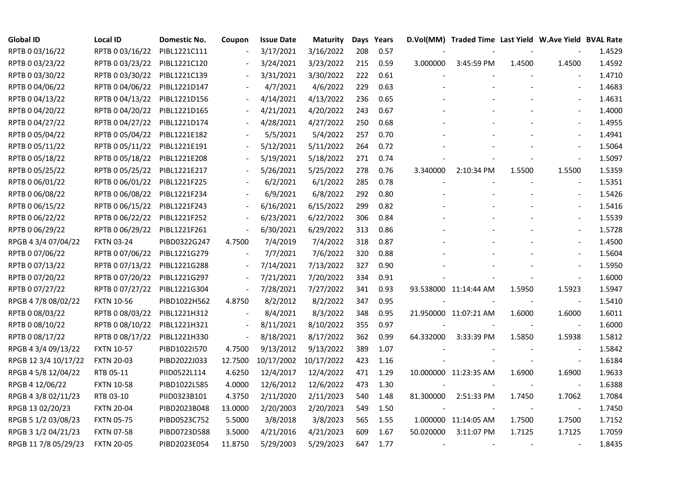| <b>Global ID</b>     | <b>Local ID</b>   | Domestic No. | Coupon                   | <b>Issue Date</b> | <b>Maturity</b> |     | Days Years |           | D.Vol(MM) Traded Time Last Yield W.Ave Yield BVAL Rate |        |                          |        |
|----------------------|-------------------|--------------|--------------------------|-------------------|-----------------|-----|------------|-----------|--------------------------------------------------------|--------|--------------------------|--------|
| RPTB 0 03/16/22      | RPTB 0 03/16/22   | PIBL1221C111 |                          | 3/17/2021         | 3/16/2022       | 208 | 0.57       |           |                                                        |        |                          | 1.4529 |
| RPTB 0 03/23/22      | RPTB 0 03/23/22   | PIBL1221C120 |                          | 3/24/2021         | 3/23/2022       | 215 | 0.59       | 3.000000  | 3:45:59 PM                                             | 1.4500 | 1.4500                   | 1.4592 |
| RPTB 0 03/30/22      | RPTB 0 03/30/22   | PIBL1221C139 |                          | 3/31/2021         | 3/30/2022       | 222 | 0.61       |           |                                                        |        |                          | 1.4710 |
| RPTB 0 04/06/22      | RPTB 0 04/06/22   | PIBL1221D147 | $\overline{\phantom{a}}$ | 4/7/2021          | 4/6/2022        | 229 | 0.63       |           |                                                        |        | $\overline{a}$           | 1.4683 |
| RPTB 0 04/13/22      | RPTB 0 04/13/22   | PIBL1221D156 |                          | 4/14/2021         | 4/13/2022       | 236 | 0.65       |           |                                                        |        |                          | 1.4631 |
| RPTB 0 04/20/22      | RPTB 0 04/20/22   | PIBL1221D165 |                          | 4/21/2021         | 4/20/2022       | 243 | 0.67       |           |                                                        |        | $\blacksquare$           | 1.4000 |
| RPTB 0 04/27/22      | RPTB 0 04/27/22   | PIBL1221D174 |                          | 4/28/2021         | 4/27/2022       | 250 | 0.68       |           |                                                        |        | $\overline{\phantom{a}}$ | 1.4955 |
| RPTB 0 05/04/22      | RPTB 0 05/04/22   | PIBL1221E182 |                          | 5/5/2021          | 5/4/2022        | 257 | 0.70       |           |                                                        |        |                          | 1.4941 |
| RPTB 0 05/11/22      | RPTB 0 05/11/22   | PIBL1221E191 |                          | 5/12/2021         | 5/11/2022       | 264 | 0.72       |           |                                                        |        |                          | 1.5064 |
| RPTB 0 05/18/22      | RPTB 0 05/18/22   | PIBL1221E208 |                          | 5/19/2021         | 5/18/2022       | 271 | 0.74       |           |                                                        |        | $\overline{\phantom{a}}$ | 1.5097 |
| RPTB 0 05/25/22      | RPTB 0 05/25/22   | PIBL1221E217 | $\blacksquare$           | 5/26/2021         | 5/25/2022       | 278 | 0.76       | 3.340000  | 2:10:34 PM                                             | 1.5500 | 1.5500                   | 1.5359 |
| RPTB 0 06/01/22      | RPTB 0 06/01/22   | PIBL1221F225 |                          | 6/2/2021          | 6/1/2022        | 285 | 0.78       |           |                                                        |        | $\blacksquare$           | 1.5351 |
| RPTB 0 06/08/22      | RPTB 0 06/08/22   | PIBL1221F234 |                          | 6/9/2021          | 6/8/2022        | 292 | 0.80       |           |                                                        |        |                          | 1.5426 |
| RPTB 0 06/15/22      | RPTB 0 06/15/22   | PIBL1221F243 | $\overline{\phantom{a}}$ | 6/16/2021         | 6/15/2022       | 299 | 0.82       |           |                                                        |        |                          | 1.5416 |
| RPTB 0 06/22/22      | RPTB 0 06/22/22   | PIBL1221F252 |                          | 6/23/2021         | 6/22/2022       | 306 | 0.84       |           |                                                        |        | $\blacksquare$           | 1.5539 |
| RPTB 0 06/29/22      | RPTB 0 06/29/22   | PIBL1221F261 |                          | 6/30/2021         | 6/29/2022       | 313 | 0.86       |           |                                                        |        |                          | 1.5728 |
| RPGB 4 3/4 07/04/22  | <b>FXTN 03-24</b> | PIBD0322G247 | 4.7500                   | 7/4/2019          | 7/4/2022        | 318 | 0.87       |           |                                                        |        | $\overline{\phantom{a}}$ | 1.4500 |
| RPTB 0 07/06/22      | RPTB 0 07/06/22   | PIBL1221G279 | $\blacksquare$           | 7/7/2021          | 7/6/2022        | 320 | 0.88       |           |                                                        |        | $\blacksquare$           | 1.5604 |
| RPTB 0 07/13/22      | RPTB 0 07/13/22   | PIBL1221G288 | $\blacksquare$           | 7/14/2021         | 7/13/2022       | 327 | 0.90       |           |                                                        |        |                          | 1.5950 |
| RPTB 0 07/20/22      | RPTB 0 07/20/22   | PIBL1221G297 | $\blacksquare$           | 7/21/2021         | 7/20/2022       | 334 | 0.91       |           |                                                        |        |                          | 1.6000 |
| RPTB 0 07/27/22      | RPTB 0 07/27/22   | PIBL1221G304 | $\blacksquare$           | 7/28/2021         | 7/27/2022       | 341 | 0.93       |           | 93.538000 11:14:44 AM                                  | 1.5950 | 1.5923                   | 1.5947 |
| RPGB 4 7/8 08/02/22  | <b>FXTN 10-56</b> | PIBD1022H562 | 4.8750                   | 8/2/2012          | 8/2/2022        | 347 | 0.95       |           |                                                        |        | $\blacksquare$           | 1.5410 |
| RPTB 0 08/03/22      | RPTB 0 08/03/22   | PIBL1221H312 |                          | 8/4/2021          | 8/3/2022        | 348 | 0.95       |           | 21.950000 11:07:21 AM                                  | 1.6000 | 1.6000                   | 1.6011 |
| RPTB 0 08/10/22      | RPTB 0 08/10/22   | PIBL1221H321 | $\overline{\phantom{a}}$ | 8/11/2021         | 8/10/2022       | 355 | 0.97       |           |                                                        |        | $\blacksquare$           | 1.6000 |
| RPTB 0 08/17/22      | RPTB 0 08/17/22   | PIBL1221H330 | $\overline{\phantom{a}}$ | 8/18/2021         | 8/17/2022       | 362 | 0.99       | 64.332000 | 3:33:39 PM                                             | 1.5850 | 1.5938                   | 1.5812 |
| RPGB 4 3/4 09/13/22  | <b>FXTN 10-57</b> | PIBD1022I570 | 4.7500                   | 9/13/2012         | 9/13/2022       | 389 | 1.07       |           |                                                        |        | $\overline{\phantom{a}}$ | 1.5842 |
| RPGB 12 3/4 10/17/22 | <b>FXTN 20-03</b> | PIBD2022J033 | 12.7500                  | 10/17/2002        | 10/17/2022      | 423 | 1.16       |           |                                                        |        | $\blacksquare$           | 1.6184 |
| RPGB 4 5/8 12/04/22  | RTB 05-11         | PIID0522L114 | 4.6250                   | 12/4/2017         | 12/4/2022       | 471 | 1.29       |           | 10.000000 11:23:35 AM                                  | 1.6900 | 1.6900                   | 1.9633 |
| RPGB 4 12/06/22      | <b>FXTN 10-58</b> | PIBD1022L585 | 4.0000                   | 12/6/2012         | 12/6/2022       | 473 | 1.30       |           |                                                        |        | $\overline{\phantom{a}}$ | 1.6388 |
| RPGB 4 3/8 02/11/23  | RTB 03-10         | PIID0323B101 | 4.3750                   | 2/11/2020         | 2/11/2023       | 540 | 1.48       | 81.300000 | 2:51:33 PM                                             | 1.7450 | 1.7062                   | 1.7084 |
| RPGB 13 02/20/23     | <b>FXTN 20-04</b> | PIBD2023B048 | 13.0000                  | 2/20/2003         | 2/20/2023       | 549 | 1.50       |           |                                                        |        | $\overline{\phantom{a}}$ | 1.7450 |
| RPGB 5 1/2 03/08/23  | <b>FXTN 05-75</b> | PIBD0523C752 | 5.5000                   | 3/8/2018          | 3/8/2023        | 565 | 1.55       |           | 1.000000 11:14:05 AM                                   | 1.7500 | 1.7500                   | 1.7152 |
| RPGB 3 1/2 04/21/23  | <b>FXTN 07-58</b> | PIBD0723D588 | 3.5000                   | 4/21/2016         | 4/21/2023       | 609 | 1.67       | 50.020000 | 3:11:07 PM                                             | 1.7125 | 1.7125                   | 1.7059 |
| RPGB 11 7/8 05/29/23 | <b>FXTN 20-05</b> | PIBD2023E054 | 11.8750                  | 5/29/2003         | 5/29/2023       | 647 | 1.77       |           |                                                        |        |                          | 1.8435 |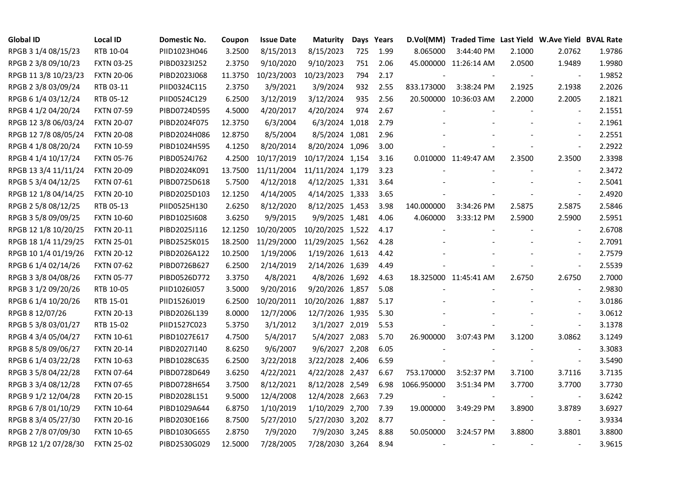| <b>Global ID</b>     | <b>Local ID</b>   | Domestic No. | Coupon  | <b>Issue Date</b> | <b>Maturity</b>  |     | Days Years |                          | D.Vol(MM) Traded Time Last Yield W.Ave Yield BVAL Rate |        |                          |        |
|----------------------|-------------------|--------------|---------|-------------------|------------------|-----|------------|--------------------------|--------------------------------------------------------|--------|--------------------------|--------|
| RPGB 3 1/4 08/15/23  | RTB 10-04         | PIID1023H046 | 3.2500  | 8/15/2013         | 8/15/2023        | 725 | 1.99       | 8.065000                 | 3:44:40 PM                                             | 2.1000 | 2.0762                   | 1.9786 |
| RPGB 2 3/8 09/10/23  | <b>FXTN 03-25</b> | PIBD0323I252 | 2.3750  | 9/10/2020         | 9/10/2023        | 751 | 2.06       |                          | 45.000000 11:26:14 AM                                  | 2.0500 | 1.9489                   | 1.9980 |
| RPGB 11 3/8 10/23/23 | <b>FXTN 20-06</b> | PIBD2023J068 | 11.3750 | 10/23/2003        | 10/23/2023       | 794 | 2.17       |                          |                                                        | $\sim$ | $\overline{\phantom{a}}$ | 1.9852 |
| RPGB 2 3/8 03/09/24  | RTB 03-11         | PIID0324C115 | 2.3750  | 3/9/2021          | 3/9/2024         | 932 | 2.55       | 833.173000               | 3:38:24 PM                                             | 2.1925 | 2.1938                   | 2.2026 |
| RPGB 6 1/4 03/12/24  | RTB 05-12         | PIID0524C129 | 6.2500  | 3/12/2019         | 3/12/2024        | 935 | 2.56       |                          | 20.500000 10:36:03 AM                                  | 2.2000 | 2.2005                   | 2.1821 |
| RPGB 4 1/2 04/20/24  | <b>FXTN 07-59</b> | PIBD0724D595 | 4.5000  | 4/20/2017         | 4/20/2024        | 974 | 2.67       |                          |                                                        |        | $\blacksquare$           | 2.1551 |
| RPGB 12 3/8 06/03/24 | <b>FXTN 20-07</b> | PIBD2024F075 | 12.3750 | 6/3/2004          | 6/3/2024 1,018   |     | 2.79       |                          |                                                        |        | $\blacksquare$           | 2.1961 |
| RPGB 12 7/8 08/05/24 | <b>FXTN 20-08</b> | PIBD2024H086 | 12.8750 | 8/5/2004          | 8/5/2024 1,081   |     | 2.96       |                          |                                                        |        | $\sim$                   | 2.2551 |
| RPGB 4 1/8 08/20/24  | <b>FXTN 10-59</b> | PIBD1024H595 | 4.1250  | 8/20/2014         | 8/20/2024 1,096  |     | 3.00       |                          |                                                        |        |                          | 2.2922 |
| RPGB 4 1/4 10/17/24  | <b>FXTN 05-76</b> | PIBD0524J762 | 4.2500  | 10/17/2019        | 10/17/2024 1,154 |     | 3.16       |                          | 0.010000 11:49:47 AM                                   | 2.3500 | 2.3500                   | 2.3398 |
| RPGB 13 3/4 11/11/24 | <b>FXTN 20-09</b> | PIBD2024K091 | 13.7500 | 11/11/2004        | 11/11/2024 1,179 |     | 3.23       |                          |                                                        |        | $\blacksquare$           | 2.3472 |
| RPGB 5 3/4 04/12/25  | FXTN 07-61        | PIBD0725D618 | 5.7500  | 4/12/2018         | 4/12/2025 1,331  |     | 3.64       |                          |                                                        |        | $\sim$                   | 2.5041 |
| RPGB 12 1/8 04/14/25 | <b>FXTN 20-10</b> | PIBD2025D103 | 12.1250 | 4/14/2005         | 4/14/2025 1,333  |     | 3.65       |                          |                                                        |        | $\omega$                 | 2.4920 |
| RPGB 2 5/8 08/12/25  | RTB 05-13         | PIID0525H130 | 2.6250  | 8/12/2020         | 8/12/2025 1,453  |     | 3.98       | 140.000000               | 3:34:26 PM                                             | 2.5875 | 2.5875                   | 2.5846 |
| RPGB 3 5/8 09/09/25  | <b>FXTN 10-60</b> | PIBD10251608 | 3.6250  | 9/9/2015          | 9/9/2025 1,481   |     | 4.06       | 4.060000                 | 3:33:12 PM                                             | 2.5900 | 2.5900                   | 2.5951 |
| RPGB 12 1/8 10/20/25 | <b>FXTN 20-11</b> | PIBD2025J116 | 12.1250 | 10/20/2005        | 10/20/2025 1,522 |     | 4.17       |                          |                                                        |        |                          | 2.6708 |
| RPGB 18 1/4 11/29/25 | <b>FXTN 25-01</b> | PIBD2525K015 | 18.2500 | 11/29/2000        | 11/29/2025 1,562 |     | 4.28       |                          |                                                        |        | $\overline{\phantom{a}}$ | 2.7091 |
| RPGB 10 1/4 01/19/26 | <b>FXTN 20-12</b> | PIBD2026A122 | 10.2500 | 1/19/2006         | 1/19/2026 1,613  |     | 4.42       |                          |                                                        |        | $\blacksquare$           | 2.7579 |
| RPGB 6 1/4 02/14/26  | <b>FXTN 07-62</b> | PIBD0726B627 | 6.2500  | 2/14/2019         | 2/14/2026 1,639  |     | 4.49       |                          |                                                        |        | $\blacksquare$           | 2.5539 |
| RPGB 3 3/8 04/08/26  | <b>FXTN 05-77</b> | PIBD0526D772 | 3.3750  | 4/8/2021          | 4/8/2026 1,692   |     | 4.63       |                          | 18.325000 11:45:41 AM                                  | 2.6750 | 2.6750                   | 2.7000 |
| RPGB 3 1/2 09/20/26  | RTB 10-05         | PIID1026I057 | 3.5000  | 9/20/2016         | 9/20/2026 1,857  |     | 5.08       |                          |                                                        |        | $\overline{\phantom{a}}$ | 2.9830 |
| RPGB 6 1/4 10/20/26  | RTB 15-01         | PIID1526J019 | 6.2500  | 10/20/2011        | 10/20/2026 1,887 |     | 5.17       |                          |                                                        |        | $\sim$                   | 3.0186 |
| RPGB 8 12/07/26      | <b>FXTN 20-13</b> | PIBD2026L139 | 8.0000  | 12/7/2006         | 12/7/2026 1,935  |     | 5.30       |                          |                                                        |        | $\overline{a}$           | 3.0612 |
| RPGB 5 3/8 03/01/27  | RTB 15-02         | PIID1527C023 | 5.3750  | 3/1/2012          | 3/1/2027 2,019   |     | 5.53       |                          |                                                        |        | $\blacksquare$           | 3.1378 |
| RPGB 4 3/4 05/04/27  | <b>FXTN 10-61</b> | PIBD1027E617 | 4.7500  | 5/4/2017          | 5/4/2027 2,083   |     | 5.70       | 26.900000                | 3:07:43 PM                                             | 3.1200 | 3.0862                   | 3.1249 |
| RPGB 8 5/8 09/06/27  | <b>FXTN 20-14</b> | PIBD2027I140 | 8.6250  | 9/6/2007          | 9/6/2027 2,208   |     | 6.05       |                          |                                                        |        | $\blacksquare$           | 3.3083 |
| RPGB 6 1/4 03/22/28  | <b>FXTN 10-63</b> | PIBD1028C635 | 6.2500  | 3/22/2018         | 3/22/2028 2,406  |     | 6.59       |                          |                                                        |        | $\blacksquare$           | 3.5490 |
| RPGB 3 5/8 04/22/28  | <b>FXTN 07-64</b> | PIBD0728D649 | 3.6250  | 4/22/2021         | 4/22/2028 2,437  |     | 6.67       | 753.170000               | 3:52:37 PM                                             | 3.7100 | 3.7116                   | 3.7135 |
| RPGB 3 3/4 08/12/28  | <b>FXTN 07-65</b> | PIBD0728H654 | 3.7500  | 8/12/2021         | 8/12/2028 2,549  |     | 6.98       | 1066.950000              | 3:51:34 PM                                             | 3.7700 | 3.7700                   | 3.7730 |
| RPGB 9 1/2 12/04/28  | <b>FXTN 20-15</b> | PIBD2028L151 | 9.5000  | 12/4/2008         | 12/4/2028 2,663  |     | 7.29       |                          |                                                        |        |                          | 3.6242 |
| RPGB 67/8 01/10/29   | <b>FXTN 10-64</b> | PIBD1029A644 | 6.8750  | 1/10/2019         | 1/10/2029 2,700  |     | 7.39       | 19.000000                | 3:49:29 PM                                             | 3.8900 | 3.8789                   | 3.6927 |
| RPGB 8 3/4 05/27/30  | <b>FXTN 20-16</b> | PIBD2030E166 | 8.7500  | 5/27/2010         | 5/27/2030 3,202  |     | 8.77       |                          |                                                        | $\sim$ | $\overline{\phantom{a}}$ | 3.9334 |
| RPGB 2 7/8 07/09/30  | <b>FXTN 10-65</b> | PIBD1030G655 | 2.8750  | 7/9/2020          | 7/9/2030 3,245   |     | 8.88       | 50.050000                | 3:24:57 PM                                             | 3.8800 | 3.8801                   | 3.8800 |
| RPGB 12 1/2 07/28/30 | <b>FXTN 25-02</b> | PIBD2530G029 | 12.5000 | 7/28/2005         | 7/28/2030 3,264  |     | 8.94       | $\overline{\phantom{a}}$ |                                                        |        | $\blacksquare$           | 3.9615 |